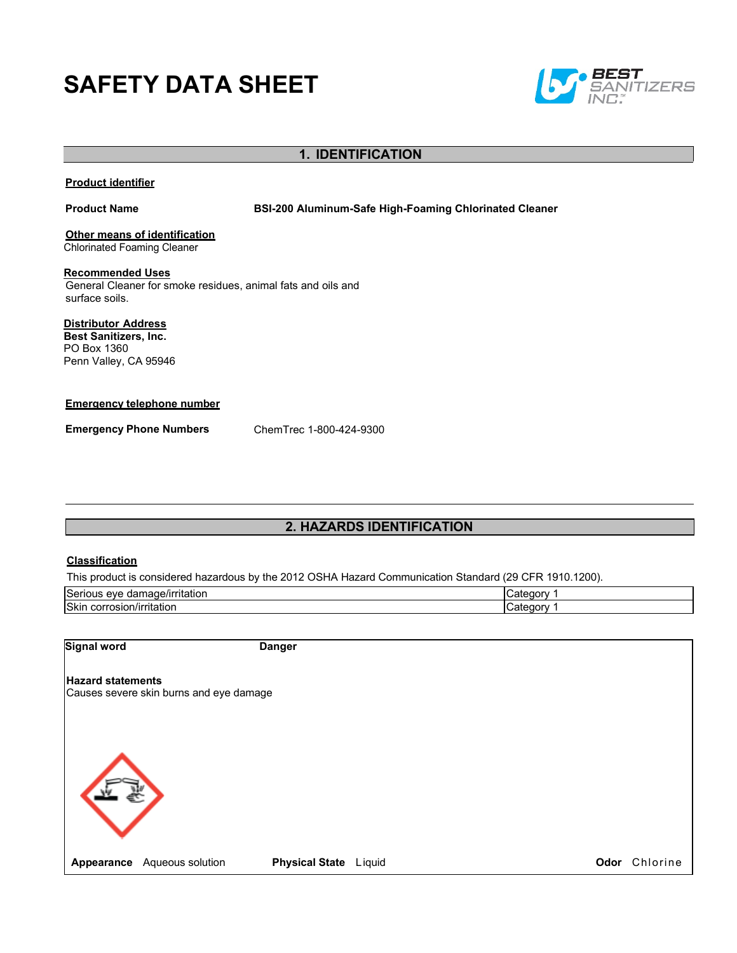# **SAFETY DATA SHEET**



# **1. IDENTIFICATION**

#### **Product identifier**

**Product Name BSI-200 Aluminum-Safe High-Foaming Chlorinated Cleaner**

**Other means of identification** Chlorinated Foaming Cleaner

**Recommended Uses** General Cleaner for smoke residues, animal fats and oils and surface soils.

**Distributor Address**

**Best Sanitizers, Inc.**  PO Box 1360 Penn Valley, CA 95946

#### **Emergency telephone number**

**Emergency Phone Numbers** ChemTrec 1-800-424-9300

# **2. HAZARDS IDENTIFICATION**

#### **Classification**

This product is considered hazardous by the 2012 OSHA Hazard Communication Standard (29 CFR 1910.1200).

| Serious<br>'amage/irritation<br>eve<br>dar | ″ atedory. |
|--------------------------------------------|------------|
| Skin<br>. corrosion/irritation             | ″ atedory. |

| Signal word              | Danger |
|--------------------------|--------|
| <b>Hazard statements</b> |        |

Causes severe skin burns and eye damage

**Appearance** Aqueous solution **Physical State** Liquid **Chloring Constanting Constanting Constanting Constanting Constanting Constanting Constanting Constanting Constanting Constanting Constanting Constanting Constanting Co**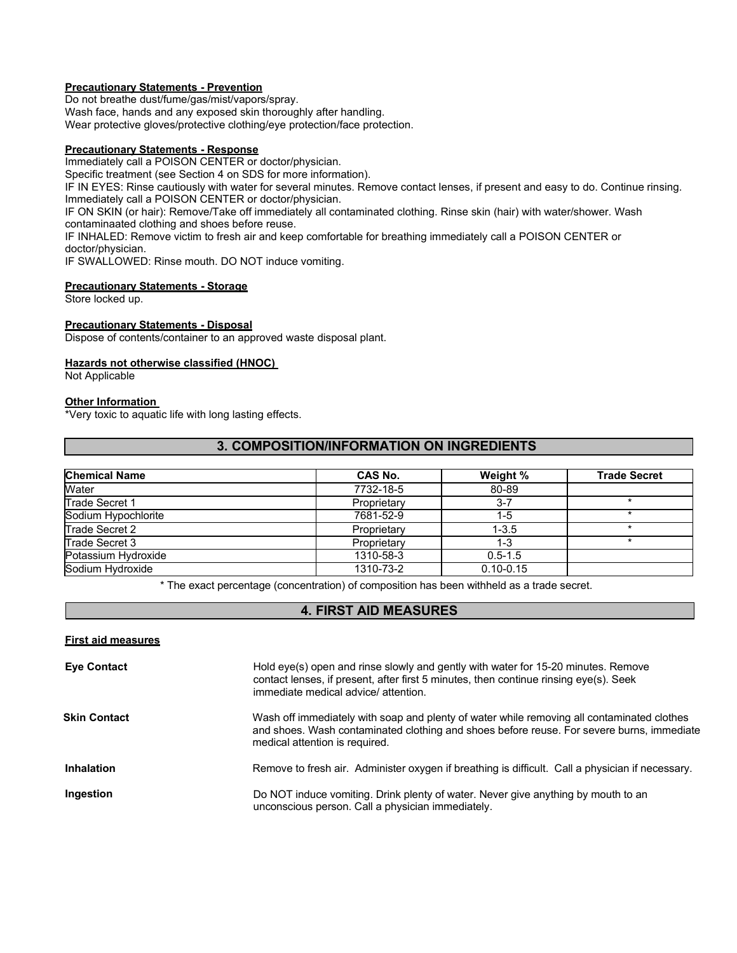#### **Precautionary Statements - Prevention**

Do not breathe dust/fume/gas/mist/vapors/spray.

Wash face, hands and any exposed skin thoroughly after handling.

Wear protective gloves/protective clothing/eye protection/face protection.

## **Precautionary Statements - Response**

Immediately call a POISON CENTER or doctor/physician.

Specific treatment (see Section 4 on SDS for more information).

IF IN EYES: Rinse cautiously with water for several minutes. Remove contact lenses, if present and easy to do. Continue rinsing. Immediately call a POISON CENTER or doctor/physician.

IF ON SKIN (or hair): Remove/Take off immediately all contaminated clothing. Rinse skin (hair) with water/shower. Wash contaminaated clothing and shoes before reuse.

IF INHALED: Remove victim to fresh air and keep comfortable for breathing immediately call a POISON CENTER or doctor/physician.

IF SWALLOWED: Rinse mouth. DO NOT induce vomiting.

#### **Precautionary Statements - Storage**

Store locked up.

#### **Precautionary Statements - Disposal**

Dispose of contents/container to an approved waste disposal plant.

#### **Hazards not otherwise classified (HNOC)**

Not Applicable

#### **Other Information**

\*Very toxic to aquatic life with long lasting effects.

### **3. COMPOSITION/INFORMATION ON INGREDIENTS**

| <b>Chemical Name</b> | CAS No.     | Weight %      | <b>Trade Secret</b> |
|----------------------|-------------|---------------|---------------------|
| Water                | 7732-18-5   | 80-89         |                     |
| Trade Secret 1       | Proprietary | $3 - 7$       |                     |
| Sodium Hypochlorite  | 7681-52-9   | $1-5$         |                     |
| Trade Secret 2       | Proprietary | $1 - 3.5$     |                     |
| Trade Secret 3       | Proprietary | $1 - 3$       |                     |
| Potassium Hydroxide  | 1310-58-3   | $0.5 - 1.5$   |                     |
| Sodium Hydroxide     | 1310-73-2   | $0.10 - 0.15$ |                     |

\* The exact percentage (concentration) of composition has been withheld as a trade secret.

# **4. FIRST AID MEASURES**

#### **First aid measures**

| <b>Eye Contact</b>  | Hold eye(s) open and rinse slowly and gently with water for 15-20 minutes. Remove<br>contact lenses, if present, after first 5 minutes, then continue rinsing eye(s). Seek<br>immediate medical advice/attention.         |
|---------------------|---------------------------------------------------------------------------------------------------------------------------------------------------------------------------------------------------------------------------|
| <b>Skin Contact</b> | Wash off immediately with soap and plenty of water while removing all contaminated clothes<br>and shoes. Wash contaminated clothing and shoes before reuse. For severe burns, immediate<br>medical attention is required. |
| Inhalation          | Remove to fresh air. Administer oxygen if breathing is difficult. Call a physician if necessary.                                                                                                                          |
| Ingestion           | Do NOT induce vomiting. Drink plenty of water. Never give anything by mouth to an<br>unconscious person. Call a physician immediately.                                                                                    |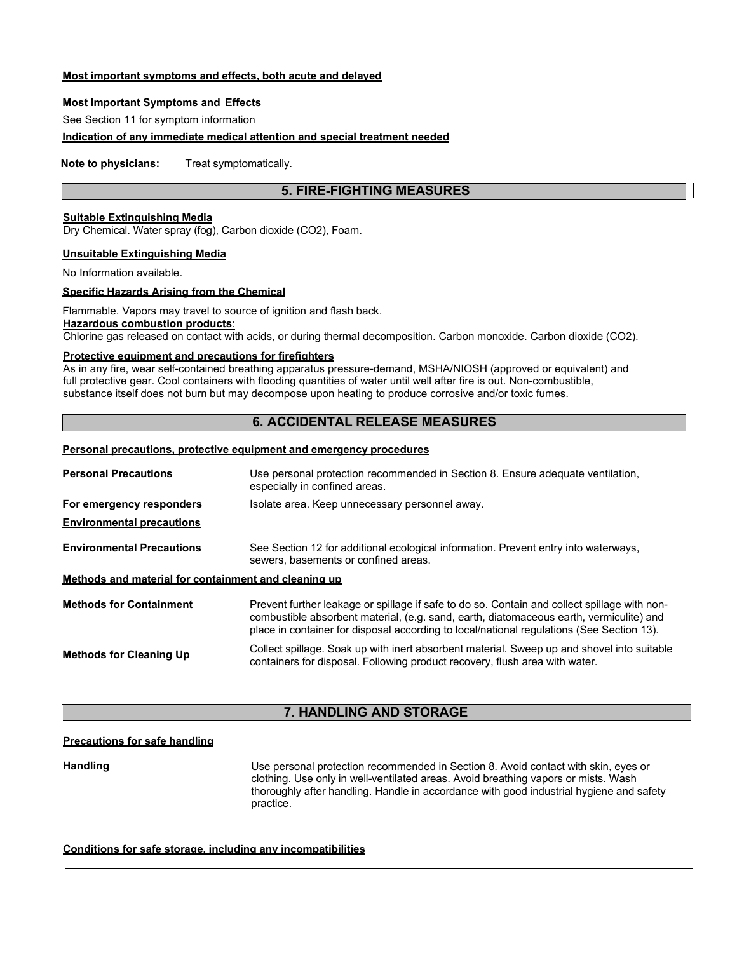#### **Most important symptoms and effects, both acute and delayed**

#### **Most Important Symptoms and Effects**

See Section 11 for symptom information

#### **Indication of any immediate medical attention and special treatment needed**

**Note to physicians:** Treat symptomatically.

## **5. FIRE-FIGHTING MEASURES**

### **Suitable Extinguishing Media**

Dry Chemical. Water spray (fog), Carbon dioxide (CO2), Foam.

#### **Unsuitable Extinguishing Media**

No Information available.

#### **Specific Hazards Arising from the Chemical**

Flammable. Vapors may travel to source of ignition and flash back. **Hazardous combustion products**:

Chlorine gas released on contact with acids, or during thermal decomposition. Carbon monoxide. Carbon dioxide (CO2).

#### **Protective equipment and precautions for firefighters**

As in any fire, wear self-contained breathing apparatus pressure-demand, MSHA/NIOSH (approved or equivalent) and full protective gear. Cool containers with flooding quantities of water until well after fire is out. Non-combustible, substance itself does not burn but may decompose upon heating to produce corrosive and/or toxic fumes.

# **6. ACCIDENTAL RELEASE MEASURES**

### **Personal precautions, protective equipment and emergency procedures**

| <b>Personal Precautions</b>                          | Use personal protection recommended in Section 8. Ensure adequate ventilation,<br>especially in confined areas.                                                                                                                                                                      |
|------------------------------------------------------|--------------------------------------------------------------------------------------------------------------------------------------------------------------------------------------------------------------------------------------------------------------------------------------|
| For emergency responders                             | Isolate area. Keep unnecessary personnel away.                                                                                                                                                                                                                                       |
| <b>Environmental precautions</b>                     |                                                                                                                                                                                                                                                                                      |
| <b>Environmental Precautions</b>                     | See Section 12 for additional ecological information. Prevent entry into waterways,<br>sewers, basements or confined areas.                                                                                                                                                          |
| Methods and material for containment and cleaning up |                                                                                                                                                                                                                                                                                      |
| <b>Methods for Containment</b>                       | Prevent further leakage or spillage if safe to do so. Contain and collect spillage with non-<br>combustible absorbent material, (e.g. sand, earth, diatomaceous earth, vermiculite) and<br>place in container for disposal according to local/national regulations (See Section 13). |
| <b>Methods for Cleaning Up</b>                       | Collect spillage. Soak up with inert absorbent material. Sweep up and shovel into suitable<br>containers for disposal. Following product recovery, flush area with water.                                                                                                            |

## **7. HANDLING AND STORAGE**

#### **Precautions for safe handling**

**Handling** Use personal protection recommended in Section 8. Avoid contact with skin, eyes or clothing. Use only in well-ventilated areas. Avoid breathing vapors or mists. Wash thoroughly after handling. Handle in accordance with good industrial hygiene and safety practice.

#### **Conditions for safe storage, including any incompatibilities**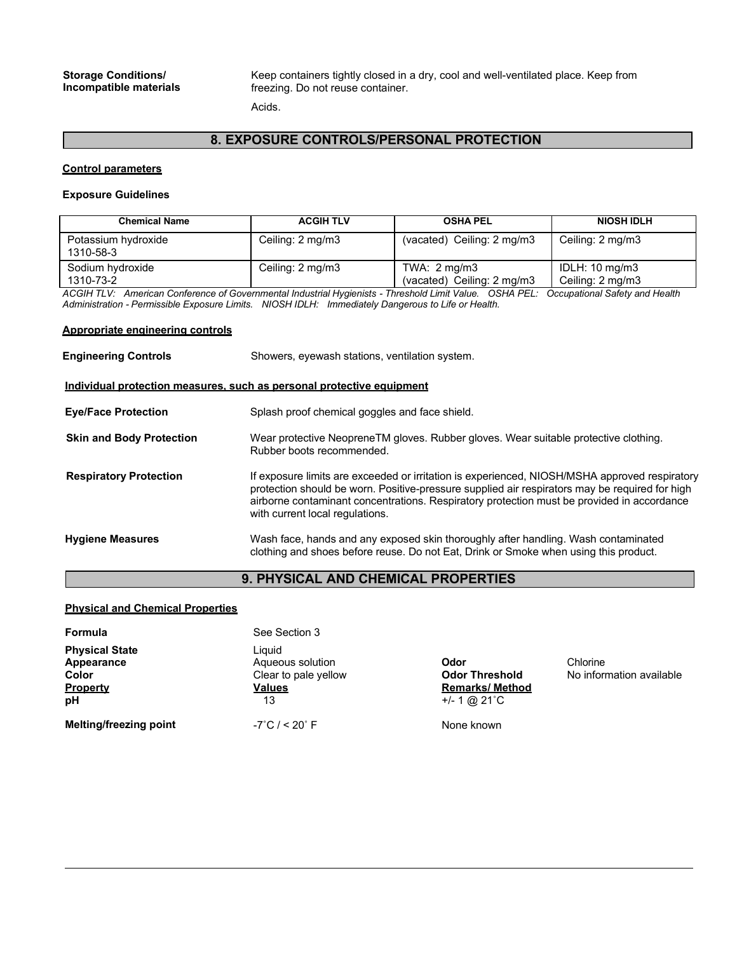#### **Storage Conditions/ Incompatible materials**

Keep containers tightly closed in a dry, cool and well-ventilated place. Keep from freezing. Do not reuse container.

Acids.

# **8. EXPOSURE CONTROLS/PERSONAL PROTECTION**

#### **Control parameters**

#### **Exposure Guidelines**

| <b>Chemical Name</b>             | <b>ACGIH TLV</b> | <b>OSHA PEL</b>                                      | <b>NIOSH IDLH</b>                             |
|----------------------------------|------------------|------------------------------------------------------|-----------------------------------------------|
| Potassium hydroxide<br>1310-58-3 | Ceiling: 2 mg/m3 | (vacated) Ceiling: 2 mg/m3                           | Ceiling: 2 mg/m3                              |
| Sodium hydroxide<br>1310-73-2    | Ceiling: 2 mg/m3 | TWA: $2 \text{ mq/m3}$<br>(vacated) Ceiling: 2 mg/m3 | IDLH: $10 \text{ mg/m}$ 3<br>Ceiling: 2 mg/m3 |

*ACGIH TLV: American Conference of Governmental Industrial Hygienists - Threshold Limit Value. OSHA PEL: Occupational Safety and Health Administration - Permissible Exposure Limits. NIOSH IDLH: Immediately Dangerous to Life or Health.*

#### **Appropriate engineering controls**

| <b>Engineering Controls</b>     | Showers, eyewash stations, ventilation system.                                                                                                                                                                                                                                                                                   |
|---------------------------------|----------------------------------------------------------------------------------------------------------------------------------------------------------------------------------------------------------------------------------------------------------------------------------------------------------------------------------|
|                                 | Individual protection measures, such as personal protective equipment                                                                                                                                                                                                                                                            |
| <b>Eye/Face Protection</b>      | Splash proof chemical goggles and face shield.                                                                                                                                                                                                                                                                                   |
| <b>Skin and Body Protection</b> | Wear protective NeopreneTM gloves. Rubber gloves. Wear suitable protective clothing.<br>Rubber boots recommended.                                                                                                                                                                                                                |
| <b>Respiratory Protection</b>   | If exposure limits are exceeded or irritation is experienced, NIOSH/MSHA approved respiratory<br>protection should be worn. Positive-pressure supplied air respirators may be required for high<br>airborne contaminant concentrations. Respiratory protection must be provided in accordance<br>with current local regulations. |
| <b>Hygiene Measures</b>         | Wash face, hands and any exposed skin thoroughly after handling. Wash contaminated<br>clothing and shoes before reuse. Do not Eat, Drink or Smoke when using this product.                                                                                                                                                       |

# **9. PHYSICAL AND CHEMICAL PROPERTIES**

#### **Physical and Chemical Properties**

| Formula                                                               | See Section 3                                                             |                                                                           |                                      |
|-----------------------------------------------------------------------|---------------------------------------------------------------------------|---------------------------------------------------------------------------|--------------------------------------|
| <b>Physical State</b><br>Appearance<br>Color<br><b>Property</b><br>рH | Liauid<br>Aqueous solution<br>Clear to pale yellow<br><b>Values</b><br>13 | Odor<br><b>Odor Threshold</b><br><b>Remarks/Method</b><br>$+/- 1$ @ 21 °C | Chlorine<br>No information available |
| <b>Melting/freezing point</b>                                         | $-7^{\circ}$ C / < 20 $^{\circ}$ F                                        | None known                                                                |                                      |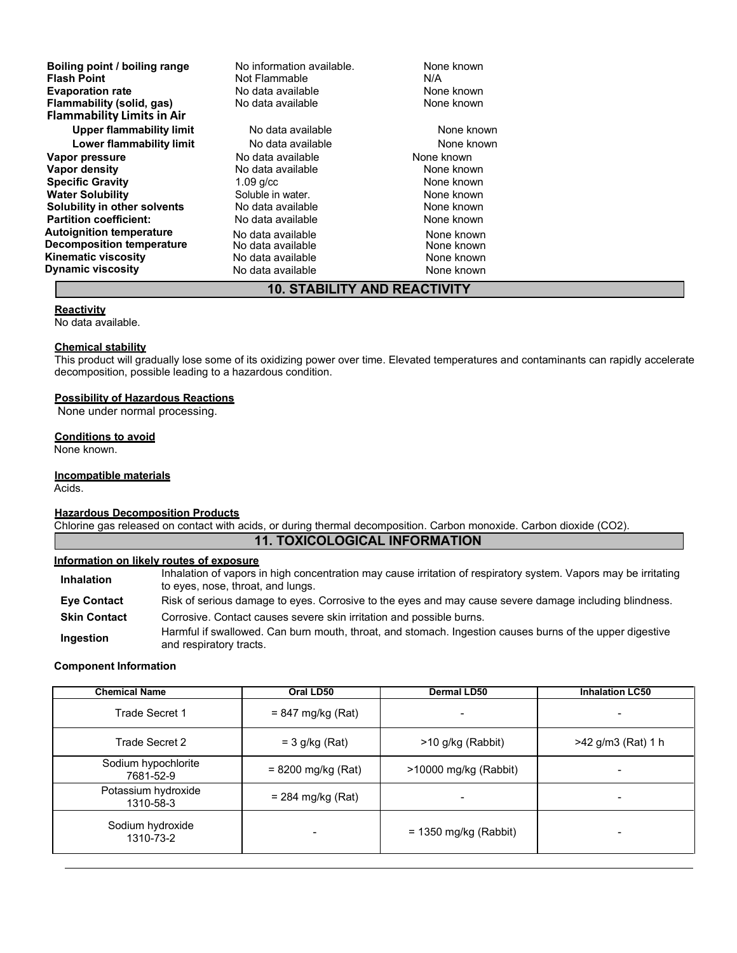| Boiling point / boiling range     | No information available.           | None known |  |
|-----------------------------------|-------------------------------------|------------|--|
| <b>Flash Point</b>                | Not Flammable                       | N/A        |  |
| <b>Evaporation rate</b>           | No data available                   | None known |  |
| Flammability (solid, gas)         | No data available                   | None known |  |
| <b>Flammability Limits in Air</b> |                                     |            |  |
| Upper flammability limit          | No data available                   | None known |  |
| Lower flammability limit          | No data available                   | None known |  |
| Vapor pressure                    | No data available                   | None known |  |
| Vapor density                     | No data available                   | None known |  |
| <b>Specific Gravity</b>           | $1.09$ g/cc                         | None known |  |
| <b>Water Solubility</b>           | Soluble in water.                   | None known |  |
| Solubility in other solvents      | No data available                   | None known |  |
| <b>Partition coefficient:</b>     | No data available                   | None known |  |
| <b>Autoignition temperature</b>   | No data available                   | None known |  |
| <b>Decomposition temperature</b>  | No data available                   | None known |  |
| <b>Kinematic viscosity</b>        | No data available                   | None known |  |
| <b>Dynamic viscosity</b>          | No data available                   | None known |  |
|                                   | <b>10. STABILITY AND REACTIVITY</b> |            |  |

#### **Reactivity**

No data available.

#### **Chemical stability**

This product will gradually lose some of its oxidizing power over time. Elevated temperatures and contaminants can rapidly accelerate decomposition, possible leading to a hazardous condition.

#### **Possibility of Hazardous Reactions**

None under normal processing.

#### **Conditions to avoid**

None known.

#### **Incompatible materials**

Acids.

#### **Hazardous Decomposition Products**

Chlorine gas released on contact with acids, or during thermal decomposition. Carbon monoxide. Carbon dioxide (CO2).

# **11. TOXICOLOGICAL INFORMATION**

#### **Information on likely routes of exposure**

Inhalation of vapors in high concentration may cause irritation of respiratory system. Vapors may be irritating<br>**Inhalation** to eyes, nose, throat, and lungs.

**Eye Contact** Risk of serious damage to eyes. Corrosive to the eyes and may cause severe damage including blindness. **Skin Contact** Corrosive. Contact causes severe skin irritation and possible burns.

**Ingestion** Harmful if swallowed. Can burn mouth, throat, and stomach. Ingestion causes burns of the upper digestive and respiratory tracts.

#### **Component Information**

| <b>Chemical Name</b>             | Oral LD50            | <b>Dermal LD50</b>      | <b>Inhalation LC50</b> |
|----------------------------------|----------------------|-------------------------|------------------------|
| Trade Secret 1                   | $= 847$ mg/kg (Rat)  |                         |                        |
| Trade Secret 2                   | $=$ 3 g/kg (Rat)     | >10 g/kg (Rabbit)       | >42 g/m3 (Rat) 1 h     |
| Sodium hypochlorite<br>7681-52-9 | $= 8200$ mg/kg (Rat) | >10000 mg/kg (Rabbit)   |                        |
| Potassium hydroxide<br>1310-58-3 | $= 284$ mg/kg (Rat)  |                         |                        |
| Sodium hydroxide<br>1310-73-2    |                      | $= 1350$ mg/kg (Rabbit) |                        |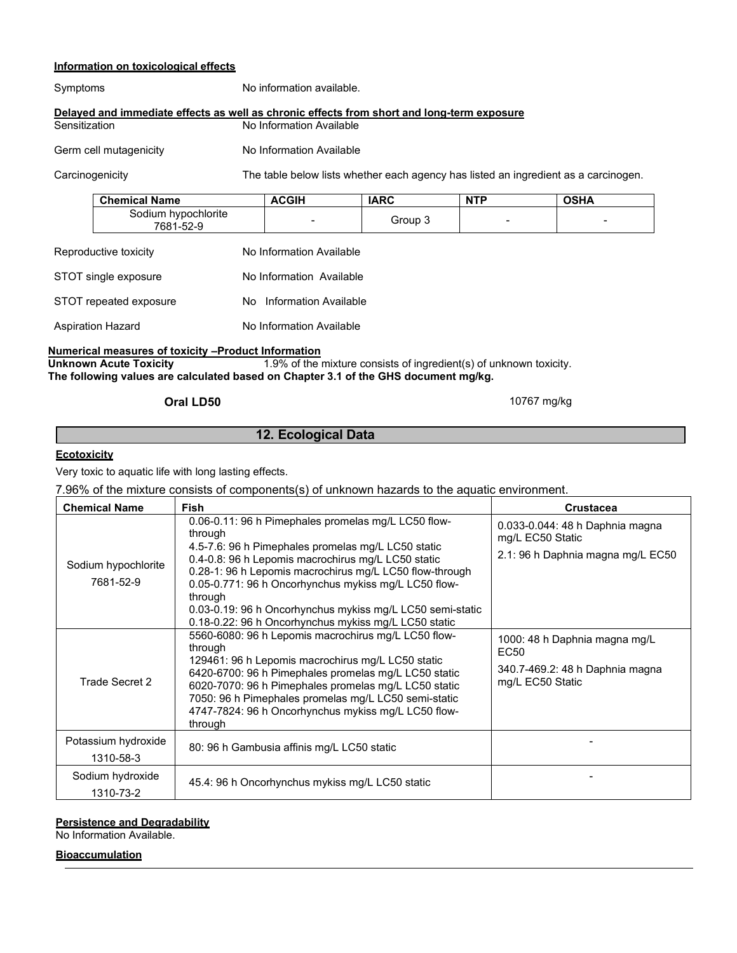#### **Information on toxicological effects**

| Symptoms               | No information available.                                                                  |
|------------------------|--------------------------------------------------------------------------------------------|
|                        | Delayed and immediate effects as well as chronic effects from short and long-term exposure |
| Sensitization          | No Information Available                                                                   |
| Germ cell mutagenicity | No Information Available                                                                   |

Carcinogenicity The table below lists whether each agency has listed an ingredient as a carcinogen.

| <b>Chemical Name</b>             | <b>IARC</b> | <b>NTP</b> | <b>OSHA</b>              |
|----------------------------------|-------------|------------|--------------------------|
| Sodium hypochlorite<br>7681-52-9 | Group 3     |            | $\overline{\phantom{a}}$ |

| Reproductive toxicity  | No Information Available |  |  |
|------------------------|--------------------------|--|--|
| STOT single exposure   | No Information Available |  |  |
| STOT repeated exposure | No Information Available |  |  |
| Aspiration Hazard      | No Information Available |  |  |

# **Numerical measures of toxicity –Product Information**<br>Unknown Acute Toxicity **1.9%** of the i

1.9% of the mixture consists of ingredient(s) of unknown toxicity. **The following values are calculated based on Chapter 3.1 of the GHS document mg/kg.**

# **Oral LD50** 10767 mg/kg

# **12. Ecological Data**

#### **Ecotoxicity**

Very toxic to aquatic life with long lasting effects.

7.96% of the mixture consists of components(s) of unknown hazards to the aquatic environment.

| <b>Chemical Name</b>             | <b>Fish</b>                                                                                                                                                                                                                                                                                                                                                                                                                   | <b>Crustacea</b>                                                                             |
|----------------------------------|-------------------------------------------------------------------------------------------------------------------------------------------------------------------------------------------------------------------------------------------------------------------------------------------------------------------------------------------------------------------------------------------------------------------------------|----------------------------------------------------------------------------------------------|
| Sodium hypochlorite<br>7681-52-9 | 0.06-0.11: 96 h Pimephales promelas mg/L LC50 flow-<br>through<br>4.5-7.6: 96 h Pimephales promelas mg/L LC50 static<br>0.4-0.8: 96 h Lepomis macrochirus mg/L LC50 static<br>0.28-1: 96 h Lepomis macrochirus mg/L LC50 flow-through<br>0.05-0.771: 96 h Oncorhynchus mykiss mg/L LC50 flow-<br>through<br>0.03-0.19: 96 h Oncorhynchus mykiss mg/L LC50 semi-static<br>0.18-0.22: 96 h Oncorhynchus mykiss mg/L LC50 static | 0.033-0.044: 48 h Daphnia magna<br>mg/L EC50 Static<br>2.1: 96 h Daphnia magna mg/L EC50     |
| Trade Secret 2                   | 5560-6080: 96 h Lepomis macrochirus mg/L LC50 flow-<br>through<br>129461: 96 h Lepomis macrochirus mg/L LC50 static<br>6420-6700: 96 h Pimephales promelas mg/L LC50 static<br>6020-7070: 96 h Pimephales promelas mg/L LC50 static<br>7050: 96 h Pimephales promelas mg/L LC50 semi-static<br>4747-7824: 96 h Oncorhynchus mykiss mg/L LC50 flow-<br>through                                                                 | 1000: 48 h Daphnia magna mg/L<br>EC50<br>340.7-469.2: 48 h Daphnia magna<br>mg/L EC50 Static |
| Potassium hydroxide<br>1310-58-3 | 80: 96 h Gambusia affinis mg/L LC50 static                                                                                                                                                                                                                                                                                                                                                                                    |                                                                                              |
| Sodium hydroxide<br>1310-73-2    | 45.4: 96 h Oncorhynchus mykiss mg/L LC50 static                                                                                                                                                                                                                                                                                                                                                                               |                                                                                              |

## **Persistence and Degradability**

No Information Available.

#### **Bioaccumulation**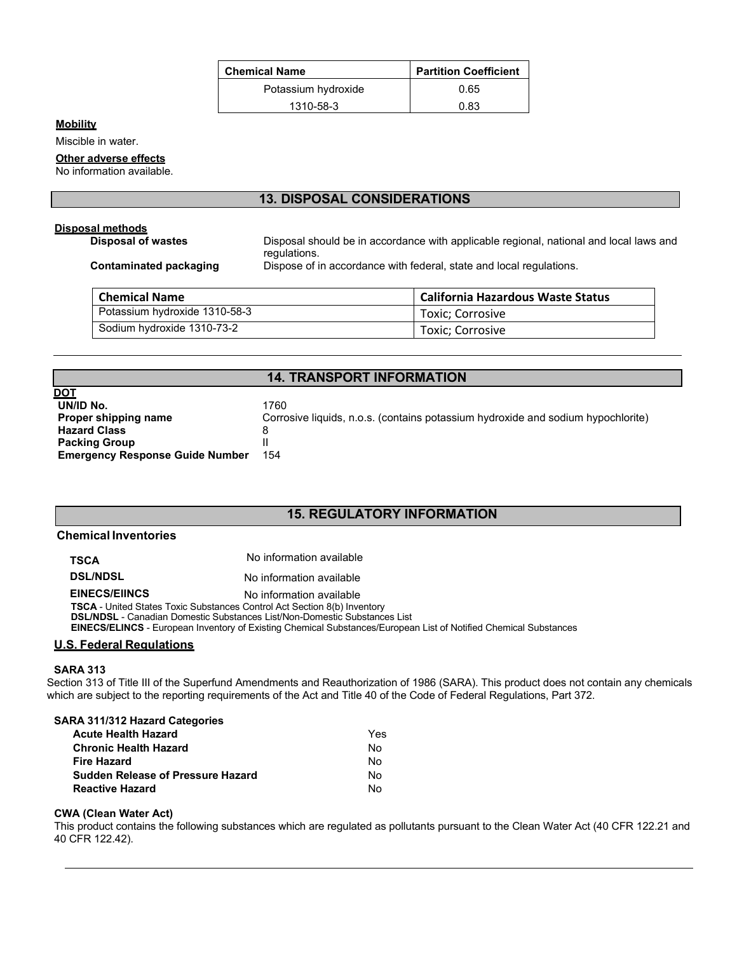| <b>Chemical Name</b> | <b>Partition Coefficient</b> |  |  |
|----------------------|------------------------------|--|--|
| Potassium hydroxide  | 0.65                         |  |  |
| 1310-58-3            | 0 83                         |  |  |

## **Mobility**

Miscible in water.

### **Other adverse effects**

No information available.

# **13. DISPOSAL CONSIDERATIONS**

# **Disposal methods**

**Disposal of wastes Disposal should be in accordance with applicable regional, national and local laws and** regulations.

**Contaminated packaging** Dispose of in accordance with federal, state and local regulations.

| <b>Chemical Name</b>          | <b>California Hazardous Waste Status</b> |  |  |
|-------------------------------|------------------------------------------|--|--|
| Potassium hydroxide 1310-58-3 | Toxic: Corrosive                         |  |  |
| Sodium hydroxide 1310-73-2    | Toxic: Corrosive                         |  |  |

### **14. TRANSPORT INFORMATION**

| DOT                                    |                                                                                  |
|----------------------------------------|----------------------------------------------------------------------------------|
| UN/ID No.                              | 1760                                                                             |
| Proper shipping name                   | Corrosive liquids, n.o.s. (contains potassium hydroxide and sodium hypochlorite) |
| <b>Hazard Class</b>                    | 8                                                                                |
| <b>Packing Group</b>                   |                                                                                  |
| <b>Emergency Response Guide Number</b> | 154                                                                              |

# **15. REGULATORY INFORMATION**

#### **Chemical Inventories**

**TSCA** No information available

**DSL/NDSL** No information available

#### **EINECS/EIINCS** No information available

**TSCA** - United States Toxic Substances Control Act Section 8(b) Inventory

**DSL/NDSL** - Canadian Domestic Substances List/Non-Domestic Substances List

**EINECS/ELINCS** - European Inventory of Existing Chemical Substances/European List of Notified Chemical Substances

### **U.S. Federal Regulations**

#### **SARA 313**

Section 313 of Title III of the Superfund Amendments and Reauthorization of 1986 (SARA). This product does not contain any chemicals which are subject to the reporting requirements of the Act and Title 40 of the Code of Federal Regulations, Part 372.

#### **SARA 311/312 Hazard Categories**

| Acute Health Hazard               | Yes |
|-----------------------------------|-----|
| Chronic Health Hazard             | N٥  |
| Fire Hazard                       | Nο  |
| Sudden Release of Pressure Hazard | Nο  |
| Reactive Hazard                   | N٥  |

#### **CWA (Clean Water Act)**

This product contains the following substances which are regulated as pollutants pursuant to the Clean Water Act (40 CFR 122.21 and 40 CFR 122.42).